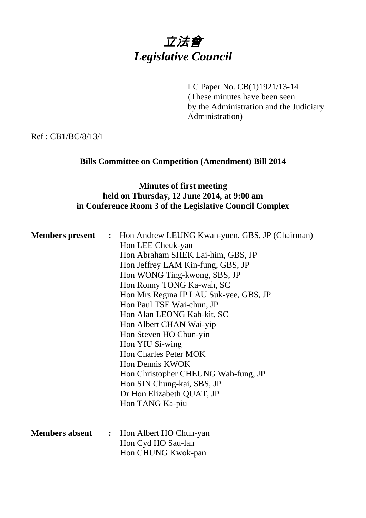# 立法會 *Legislative Council*

LC Paper No. CB(1)1921/13-14

(These minutes have been seen by the Administration and the Judiciary Administration)

Ref : CB1/BC/8/13/1

## **Bills Committee on Competition (Amendment) Bill 2014**

## **Minutes of first meeting held on Thursday, 12 June 2014, at 9:00 am in Conference Room 3 of the Legislative Council Complex**

| Hon LEE Cheuk-yan                                 |  |
|---------------------------------------------------|--|
|                                                   |  |
| Hon Abraham SHEK Lai-him, GBS, JP                 |  |
| Hon Jeffrey LAM Kin-fung, GBS, JP                 |  |
| Hon WONG Ting-kwong, SBS, JP                      |  |
| Hon Ronny TONG Ka-wah, SC                         |  |
| Hon Mrs Regina IP LAU Suk-yee, GBS, JP            |  |
| Hon Paul TSE Wai-chun, JP                         |  |
| Hon Alan LEONG Kah-kit, SC                        |  |
| Hon Albert CHAN Wai-yip                           |  |
| Hon Steven HO Chun-yin                            |  |
| Hon YIU Si-wing                                   |  |
| <b>Hon Charles Peter MOK</b>                      |  |
| Hon Dennis KWOK                                   |  |
| Hon Christopher CHEUNG Wah-fung, JP               |  |
| Hon SIN Chung-kai, SBS, JP                        |  |
| Dr Hon Elizabeth QUAT, JP                         |  |
| Hon TANG Ka-piu                                   |  |
|                                                   |  |
|                                                   |  |
| <b>Members absent</b><br>: Hon Albert HO Chun-yan |  |
| Hon Cyd HO Sau-lan                                |  |
| Hon CHUNG Kwok-pan                                |  |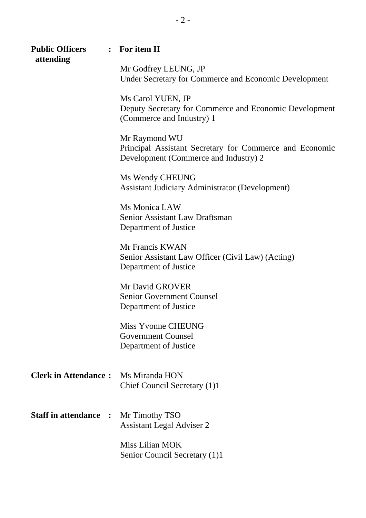| <b>Public Officers</b><br>attending | $\therefore$ For item II                                                                                          |
|-------------------------------------|-------------------------------------------------------------------------------------------------------------------|
|                                     | Mr Godfrey LEUNG, JP<br>Under Secretary for Commerce and Economic Development                                     |
|                                     | Ms Carol YUEN, JP<br>Deputy Secretary for Commerce and Economic Development<br>(Commerce and Industry) 1          |
|                                     | Mr Raymond WU<br>Principal Assistant Secretary for Commerce and Economic<br>Development (Commerce and Industry) 2 |
|                                     | Ms Wendy CHEUNG<br><b>Assistant Judiciary Administrator (Development)</b>                                         |
|                                     | Ms Monica LAW<br>Senior Assistant Law Draftsman<br>Department of Justice                                          |
|                                     | Mr Francis KWAN<br>Senior Assistant Law Officer (Civil Law) (Acting)<br>Department of Justice                     |
|                                     | Mr David GROVER<br><b>Senior Government Counsel</b><br>Department of Justice                                      |
|                                     | <b>Miss Yvonne CHEUNG</b><br><b>Government Counsel</b><br>Department of Justice                                   |
| <b>Clerk in Attendance:</b>         | Ms Miranda HON<br>Chief Council Secretary (1)1                                                                    |
| <b>Staff in attendance :</b>        | Mr Timothy TSO<br><b>Assistant Legal Adviser 2</b>                                                                |
|                                     | Miss Lilian MOK<br>Senior Council Secretary (1)1                                                                  |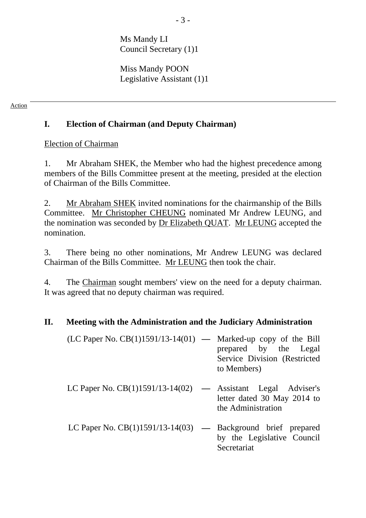Ms Mandy LI Council Secretary (1)1

Miss Mandy POON Legislative Assistant (1)1

#### Action

# **I. Election of Chairman (and Deputy Chairman)**

## Election of Chairman

1. Mr Abraham SHEK, the Member who had the highest precedence among members of the Bills Committee present at the meeting, presided at the election of Chairman of the Bills Committee.

2. Mr Abraham SHEK invited nominations for the chairmanship of the Bills Committee. Mr Christopher CHEUNG nominated Mr Andrew LEUNG, and the nomination was seconded by Dr Elizabeth QUAT. Mr LEUNG accepted the nomination.

3. There being no other nominations, Mr Andrew LEUNG was declared Chairman of the Bills Committee. Mr LEUNG then took the chair.

4. The Chairman sought members' view on the need for a deputy chairman. It was agreed that no deputy chairman was required.

## **II. Meeting with the Administration and the Judiciary Administration**

| $(LC$ Paper No. $CB(1)1591/13-14(01)$ — Marked-up copy of the Bill |                               |  |  |
|--------------------------------------------------------------------|-------------------------------|--|--|
|                                                                    | prepared by the Legal         |  |  |
|                                                                    | Service Division (Restricted) |  |  |
|                                                                    | to Members)                   |  |  |

- LC Paper No. CB(1)1591/13-14(02) Assistant Legal Adviser's letter dated 30 May 2014 to the Administration
- LC Paper No. CB(1)1591/13-14(03) **—** Background brief prepared by the Legislative Council Secretariat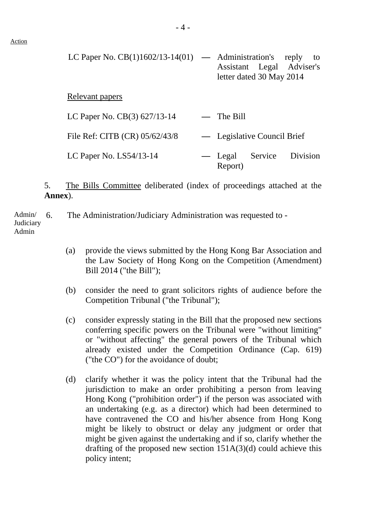| LC Paper No. $CB(1)1602/13-14(01)$ — Administration's |                             | letter dated 30 May 2014 | reply<br>to<br>Assistant Legal Adviser's |
|-------------------------------------------------------|-----------------------------|--------------------------|------------------------------------------|
| Relevant papers                                       |                             |                          |                                          |
| LC Paper No. CB(3) 627/13-14                          | $-$ The Bill                |                          |                                          |
| File Ref: CITB (CR) 05/62/43/8                        | — Legislative Council Brief |                          |                                          |
| LC Paper No. $LS54/13-14$                             | — Legal<br>Report)          | Service                  | Division                                 |

5. The Bills Committee deliberated (index of proceedings attached at the **Annex**).

Admin/ **Judiciary** Admin 6. The Administration/Judiciary Administration was requested to -

- (a) provide the views submitted by the Hong Kong Bar Association and the Law Society of Hong Kong on the Competition (Amendment) Bill 2014 ("the Bill");
- (b) consider the need to grant solicitors rights of audience before the Competition Tribunal ("the Tribunal");
- (c) consider expressly stating in the Bill that the proposed new sections conferring specific powers on the Tribunal were "without limiting" or "without affecting" the general powers of the Tribunal which already existed under the Competition Ordinance (Cap. 619) ("the CO") for the avoidance of doubt;
- (d) clarify whether it was the policy intent that the Tribunal had the jurisdiction to make an order prohibiting a person from leaving Hong Kong ("prohibition order") if the person was associated with an undertaking (e.g. as a director) which had been determined to have contravened the CO and his/her absence from Hong Kong might be likely to obstruct or delay any judgment or order that might be given against the undertaking and if so, clarify whether the drafting of the proposed new section 151A(3)(d) could achieve this policy intent;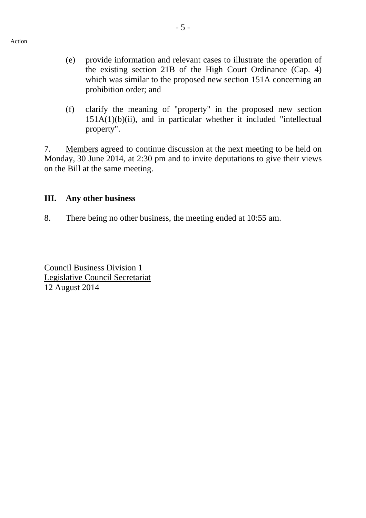- (e) provide information and relevant cases to illustrate the operation of the existing section 21B of the High Court Ordinance (Cap. 4) which was similar to the proposed new section 151A concerning an prohibition order; and
- (f) clarify the meaning of "property" in the proposed new section  $151A(1)(b)(ii)$ , and in particular whether it included "intellectual property".

7. Members agreed to continue discussion at the next meeting to be held on Monday, 30 June 2014, at 2:30 pm and to invite deputations to give their views on the Bill at the same meeting.

#### **III. Any other business**

8. There being no other business, the meeting ended at 10:55 am.

Council Business Division 1 Legislative Council Secretariat 12 August 2014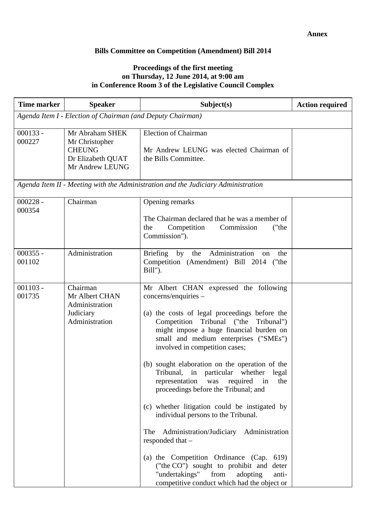#### **Bills Committee on Competition (Amendment) Bill 2014**

#### **Proceedings of the first meeting on Thursday, 12 June 2014, at 9:00 am in Conference Room 3 of the Legislative Council Complex**

| <b>Time marker</b>   | <b>Speaker</b>                                                                             | Subject(s)                                                                                                                                                                                                                                                                                                                                                                                                                                                                                                                                                                                                                                                                                                                                                                                                                    | <b>Action required</b> |  |  |
|----------------------|--------------------------------------------------------------------------------------------|-------------------------------------------------------------------------------------------------------------------------------------------------------------------------------------------------------------------------------------------------------------------------------------------------------------------------------------------------------------------------------------------------------------------------------------------------------------------------------------------------------------------------------------------------------------------------------------------------------------------------------------------------------------------------------------------------------------------------------------------------------------------------------------------------------------------------------|------------------------|--|--|
|                      | Agenda Item I - Election of Chairman (and Deputy Chairman)                                 |                                                                                                                                                                                                                                                                                                                                                                                                                                                                                                                                                                                                                                                                                                                                                                                                                               |                        |  |  |
| $000133 -$<br>000227 | Mr Abraham SHEK<br>Mr Christopher<br><b>CHEUNG</b><br>Dr Elizabeth QUAT<br>Mr Andrew LEUNG | <b>Election of Chairman</b><br>Mr Andrew LEUNG was elected Chairman of<br>the Bills Committee.                                                                                                                                                                                                                                                                                                                                                                                                                                                                                                                                                                                                                                                                                                                                |                        |  |  |
|                      |                                                                                            | Agenda Item II - Meeting with the Administration and the Judiciary Administration                                                                                                                                                                                                                                                                                                                                                                                                                                                                                                                                                                                                                                                                                                                                             |                        |  |  |
| $000228 -$<br>000354 | Chairman                                                                                   | Opening remarks<br>The Chairman declared that he was a member of<br>Competition<br>Commission<br>("the<br>the<br>Commission").                                                                                                                                                                                                                                                                                                                                                                                                                                                                                                                                                                                                                                                                                                |                        |  |  |
| $000355 -$<br>001102 | Administration                                                                             | Administration<br>Briefing by<br>the<br>the<br>on<br>Competition (Amendment) Bill 2014 ("the<br>Bill").                                                                                                                                                                                                                                                                                                                                                                                                                                                                                                                                                                                                                                                                                                                       |                        |  |  |
| $001103 -$<br>001735 | Chairman<br>Mr Albert CHAN<br>Administration<br>Judiciary<br>Administration                | Mr Albert CHAN expressed the following<br>concerns/enquiries -<br>(a) the costs of legal proceedings before the<br>Competition Tribunal ("the<br>Tribunal")<br>might impose a huge financial burden on<br>small and medium enterprises ("SMEs")<br>involved in competition cases;<br>(b) sought elaboration on the operation of the<br>Tribunal, in particular whether legal<br>representation was required<br>$\sin$<br>the<br>proceedings before the Tribunal; and<br>(c) whether litigation could be instigated by<br>individual persons to the Tribunal.<br>Administration/Judiciary Administration<br>The<br>responded that -<br>(a) the Competition Ordinance (Cap.<br>619)<br>("the CO") sought to prohibit and<br>deter<br>"undertakings"<br>from<br>adopting<br>anti-<br>competitive conduct which had the object or |                        |  |  |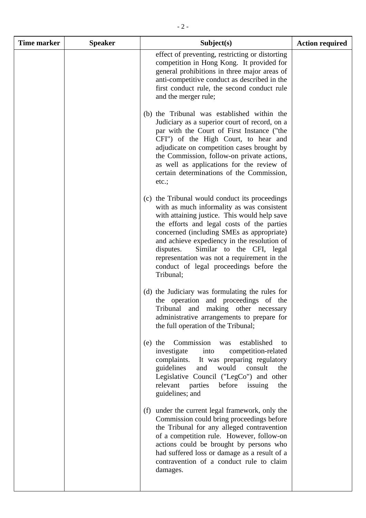| <b>Time marker</b> | <b>Speaker</b> | Subject(s)                                                                                                                                                                                                                                                                                                                                                                                                                              | <b>Action required</b> |
|--------------------|----------------|-----------------------------------------------------------------------------------------------------------------------------------------------------------------------------------------------------------------------------------------------------------------------------------------------------------------------------------------------------------------------------------------------------------------------------------------|------------------------|
|                    |                | effect of preventing, restricting or distorting<br>competition in Hong Kong. It provided for<br>general prohibitions in three major areas of<br>anti-competitive conduct as described in the<br>first conduct rule, the second conduct rule<br>and the merger rule;                                                                                                                                                                     |                        |
|                    |                | (b) the Tribunal was established within the<br>Judiciary as a superior court of record, on a<br>par with the Court of First Instance ("the<br>CFI") of the High Court, to hear and<br>adjudicate on competition cases brought by<br>the Commission, follow-on private actions,<br>as well as applications for the review of<br>certain determinations of the Commission,<br>etc.;                                                       |                        |
|                    |                | (c) the Tribunal would conduct its proceedings<br>with as much informality as was consistent<br>with attaining justice. This would help save<br>the efforts and legal costs of the parties<br>concerned (including SMEs as appropriate)<br>and achieve expediency in the resolution of<br>Similar to the CFI, legal<br>disputes.<br>representation was not a requirement in the<br>conduct of legal proceedings before the<br>Tribunal; |                        |
|                    |                | (d) the Judiciary was formulating the rules for<br>the operation and proceedings of the<br>Tribunal and making other necessary<br>administrative arrangements to prepare for<br>the full operation of the Tribunal;                                                                                                                                                                                                                     |                        |
|                    |                | Commission<br>established<br>$(e)$ the<br>was<br>to<br>competition-related<br>into<br>investigate<br>complaints. It was preparing regulatory<br>guidelines<br>and<br>would<br>consult<br>the<br>Legislative Council ("LegCo") and other<br>relevant parties<br>before<br>issuing<br>the<br>guidelines; and                                                                                                                              |                        |
|                    |                | (f) under the current legal framework, only the<br>Commission could bring proceedings before<br>the Tribunal for any alleged contravention<br>of a competition rule. However, follow-on<br>actions could be brought by persons who<br>had suffered loss or damage as a result of a<br>contravention of a conduct rule to claim<br>damages.                                                                                              |                        |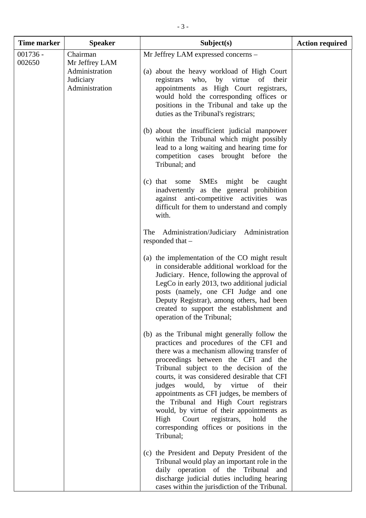| <b>Time marker</b>   | <b>Speaker</b>                                                              | Subject(s)                                                                                                                                                                                                                                                                                                                                                                                                                                                                                                                                                             | <b>Action required</b> |
|----------------------|-----------------------------------------------------------------------------|------------------------------------------------------------------------------------------------------------------------------------------------------------------------------------------------------------------------------------------------------------------------------------------------------------------------------------------------------------------------------------------------------------------------------------------------------------------------------------------------------------------------------------------------------------------------|------------------------|
| $001736 -$<br>002650 | Chairman<br>Mr Jeffrey LAM<br>Administration<br>Judiciary<br>Administration | Mr Jeffrey LAM expressed concerns -<br>(a) about the heavy workload of High Court<br>who, by virtue<br>registrars<br>of<br>their<br>appointments as High Court registrars,<br>would hold the corresponding offices or<br>positions in the Tribunal and take up the<br>duties as the Tribunal's registrars;<br>(b) about the insufficient judicial manpower<br>within the Tribunal which might possibly                                                                                                                                                                 |                        |
|                      |                                                                             | lead to a long waiting and hearing time for<br>competition cases brought before the<br>Tribunal; and<br><b>SMEs</b><br>some<br>might<br>be<br>$(c)$ that<br>caught<br>inadvertently as the general prohibition<br>against anti-competitive activities<br>was<br>difficult for them to understand and comply                                                                                                                                                                                                                                                            |                        |
|                      |                                                                             | with.<br>Administration/Judiciary Administration<br>The<br>responded that $-$<br>(a) the implementation of the CO might result<br>in considerable additional workload for the                                                                                                                                                                                                                                                                                                                                                                                          |                        |
|                      |                                                                             | Judiciary. Hence, following the approval of<br>LegCo in early 2013, two additional judicial<br>posts (namely, one CFI Judge and one<br>Deputy Registrar), among others, had been<br>created to support the establishment and<br>operation of the Tribunal;                                                                                                                                                                                                                                                                                                             |                        |
|                      |                                                                             | (b) as the Tribunal might generally follow the<br>practices and procedures of the CFI and<br>there was a mechanism allowing transfer of<br>proceedings between the CFI and the<br>Tribunal subject to the decision of the<br>courts, it was considered desirable that CFI<br>would,<br>judges<br>by virtue<br>of<br>their<br>appointments as CFI judges, be members of<br>the Tribunal and High Court registrars<br>would, by virtue of their appointments as<br>registrars,<br>hold<br>High<br>Court<br>the<br>corresponding offices or positions in the<br>Tribunal; |                        |
|                      |                                                                             | (c) the President and Deputy President of the<br>Tribunal would play an important role in the<br>daily operation of the Tribunal<br>and<br>discharge judicial duties including hearing<br>cases within the jurisdiction of the Tribunal.                                                                                                                                                                                                                                                                                                                               |                        |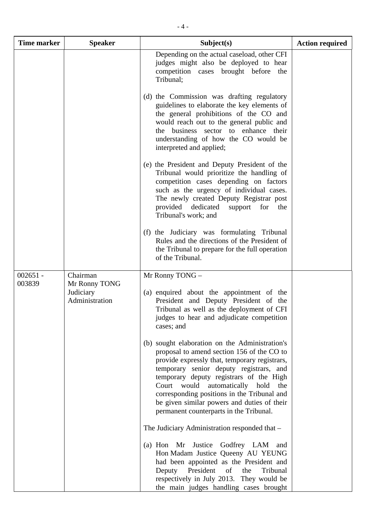| <b>Time marker</b>   | <b>Speaker</b>                                           | Subject(s)                                                                                                                                                                                                                                                                                                                                                                                                            | <b>Action required</b> |
|----------------------|----------------------------------------------------------|-----------------------------------------------------------------------------------------------------------------------------------------------------------------------------------------------------------------------------------------------------------------------------------------------------------------------------------------------------------------------------------------------------------------------|------------------------|
|                      |                                                          | Depending on the actual caseload, other CFI<br>judges might also be deployed to hear<br>competition cases brought before<br>the<br>Tribunal;                                                                                                                                                                                                                                                                          |                        |
|                      |                                                          | (d) the Commission was drafting regulatory<br>guidelines to elaborate the key elements of<br>the general prohibitions of the CO and<br>would reach out to the general public and<br>the business sector to enhance their<br>understanding of how the CO would be<br>interpreted and applied;                                                                                                                          |                        |
|                      |                                                          | (e) the President and Deputy President of the<br>Tribunal would prioritize the handling of<br>competition cases depending on factors<br>such as the urgency of individual cases.<br>The newly created Deputy Registrar post<br>provided<br>dedicated<br>support<br>for<br>the<br>Tribunal's work; and                                                                                                                 |                        |
|                      |                                                          | (f) the Judiciary was formulating Tribunal<br>Rules and the directions of the President of<br>the Tribunal to prepare for the full operation<br>of the Tribunal.                                                                                                                                                                                                                                                      |                        |
| $002651 -$<br>003839 | Chairman<br>Mr Ronny TONG<br>Judiciary<br>Administration | Mr Ronny TONG -<br>(a) enquired about the appointment of the<br>President and Deputy President of the<br>Tribunal as well as the deployment of CFI<br>judges to hear and adjudicate competition<br>cases; and                                                                                                                                                                                                         |                        |
|                      |                                                          | (b) sought elaboration on the Administration's<br>proposal to amend section 156 of the CO to<br>provide expressly that, temporary registrars,<br>temporary senior deputy registrars, and<br>temporary deputy registrars of the High<br>Court would automatically hold<br>the<br>corresponding positions in the Tribunal and<br>be given similar powers and duties of their<br>permanent counterparts in the Tribunal. |                        |
|                      |                                                          | The Judiciary Administration responded that -                                                                                                                                                                                                                                                                                                                                                                         |                        |
|                      |                                                          | (a) Hon Mr Justice Godfrey LAM and<br>Hon Madam Justice Queeny AU YEUNG<br>had been appointed as the President and<br>Deputy President of<br>the<br>Tribunal<br>respectively in July 2013. They would be<br>the main judges handling cases brought                                                                                                                                                                    |                        |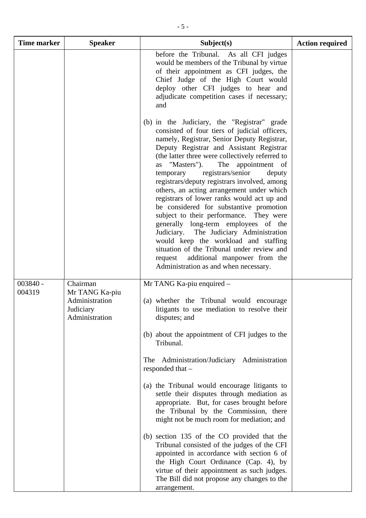| <b>Time marker</b>   | <b>Speaker</b>                                                              | Subject(s)                                                                                                                                                                                                                                                                                                                                                                                                                                                                                                                                                                                                                                                                                                                                                                                                                   | <b>Action required</b> |
|----------------------|-----------------------------------------------------------------------------|------------------------------------------------------------------------------------------------------------------------------------------------------------------------------------------------------------------------------------------------------------------------------------------------------------------------------------------------------------------------------------------------------------------------------------------------------------------------------------------------------------------------------------------------------------------------------------------------------------------------------------------------------------------------------------------------------------------------------------------------------------------------------------------------------------------------------|------------------------|
|                      |                                                                             | before the Tribunal. As all CFI judges<br>would be members of the Tribunal by virtue<br>of their appointment as CFI judges, the<br>Chief Judge of the High Court would<br>deploy other CFI judges to hear and<br>adjudicate competition cases if necessary;<br>and                                                                                                                                                                                                                                                                                                                                                                                                                                                                                                                                                           |                        |
|                      |                                                                             | (b) in the Judiciary, the "Registrar" grade<br>consisted of four tiers of judicial officers,<br>namely, Registrar, Senior Deputy Registrar,<br>Deputy Registrar and Assistant Registrar<br>(the latter three were collectively referred to<br>as "Masters").<br>The appointment of<br>registrars/senior<br>deputy<br>temporary<br>registrars/deputy registrars involved, among<br>others, an acting arrangement under which<br>registrars of lower ranks would act up and<br>be considered for substantive promotion<br>subject to their performance. They were<br>generally long-term employees of the<br>Judiciary. The Judiciary Administration<br>would keep the workload and staffing<br>situation of the Tribunal under review and<br>additional manpower from the<br>request<br>Administration as and when necessary. |                        |
| $003840 -$<br>004319 | Chairman<br>Mr TANG Ka-piu<br>Administration<br>Judiciary<br>Administration | Mr TANG Ka-piu enquired -<br>(a) whether the Tribunal would encourage<br>litigants to use mediation to resolve their<br>disputes; and<br>(b) about the appointment of CFI judges to the                                                                                                                                                                                                                                                                                                                                                                                                                                                                                                                                                                                                                                      |                        |
|                      |                                                                             | Tribunal.<br>The Administration/Judiciary Administration<br>responded that –<br>(a) the Tribunal would encourage litigants to                                                                                                                                                                                                                                                                                                                                                                                                                                                                                                                                                                                                                                                                                                |                        |
|                      |                                                                             | settle their disputes through mediation as<br>appropriate. But, for cases brought before<br>the Tribunal by the Commission, there<br>might not be much room for mediation; and                                                                                                                                                                                                                                                                                                                                                                                                                                                                                                                                                                                                                                               |                        |
|                      |                                                                             | (b) section 135 of the CO provided that the<br>Tribunal consisted of the judges of the CFI<br>appointed in accordance with section 6 of<br>the High Court Ordinance (Cap. 4), by<br>virtue of their appointment as such judges.<br>The Bill did not propose any changes to the<br>arrangement.                                                                                                                                                                                                                                                                                                                                                                                                                                                                                                                               |                        |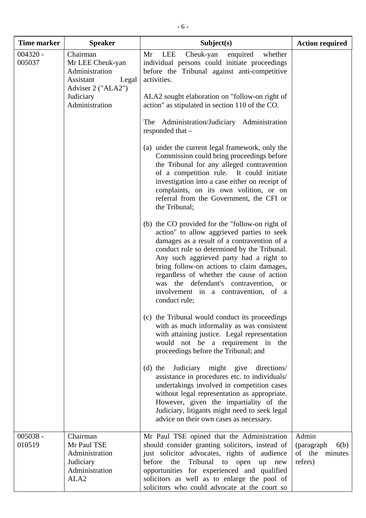| <b>Time marker</b>   | <b>Speaker</b>                                                                               | Subject(s)                                                                                                                                                                                                                                                                                                                                                                                                                         | <b>Action required</b>                                       |
|----------------------|----------------------------------------------------------------------------------------------|------------------------------------------------------------------------------------------------------------------------------------------------------------------------------------------------------------------------------------------------------------------------------------------------------------------------------------------------------------------------------------------------------------------------------------|--------------------------------------------------------------|
| $004320 -$<br>005037 | Chairman<br>Mr LEE Cheuk-yan<br>Administration<br>Assistant<br>Legal<br>Adviser 2 ("ALA2")   | LEE<br>enquired<br>Mr<br>Cheuk-yan<br>whether<br>individual persons could initiate proceedings<br>before the Tribunal against anti-competitive<br>activities.                                                                                                                                                                                                                                                                      |                                                              |
|                      | Judiciary<br>Administration                                                                  | ALA2 sought elaboration on "follow-on right of<br>action" as stipulated in section 110 of the CO.                                                                                                                                                                                                                                                                                                                                  |                                                              |
|                      |                                                                                              | The Administration/Judiciary Administration<br>responded that -                                                                                                                                                                                                                                                                                                                                                                    |                                                              |
|                      |                                                                                              | (a) under the current legal framework, only the<br>Commission could bring proceedings before<br>the Tribunal for any alleged contravention<br>of a competition rule. It could initiate<br>investigation into a case either on receipt of<br>complaints, on its own volition, or on<br>referral from the Government, the CFI or<br>the Tribunal;                                                                                    |                                                              |
|                      |                                                                                              | (b) the CO provided for the "follow-on right of<br>action" to allow aggrieved parties to seek<br>damages as a result of a contravention of a<br>conduct rule so determined by the Tribunal.<br>Any such aggrieved party had a right to<br>bring follow-on actions to claim damages,<br>regardless of whether the cause of action<br>was the defendant's contravention, or<br>involvement in a contravention, of a<br>conduct rule; |                                                              |
|                      |                                                                                              | (c) the Tribunal would conduct its proceedings<br>with as much informality as was consistent<br>with attaining justice. Legal representation<br>would not be a requirement in the<br>proceedings before the Tribunal; and                                                                                                                                                                                                          |                                                              |
|                      |                                                                                              | Judiciary might give<br>directions/<br>$(d)$ the<br>assistance in procedures etc. to individuals/<br>undertakings involved in competition cases<br>without legal representation as appropriate.<br>However, given the impartiality of the<br>Judiciary, litigants might need to seek legal<br>advice on their own cases as necessary.                                                                                              |                                                              |
| $005038 -$<br>010519 | Chairman<br>Mr Paul TSE<br>Administration<br>Judiciary<br>Administration<br>ALA <sub>2</sub> | Mr Paul TSE opined that the Administration<br>should consider granting solicitors, instead of<br>just solicitor advocates, rights of audience<br>before<br>Tribunal<br>the<br>to open<br>up<br>new<br>opportunities for experienced and qualified<br>solicitors as well as to enlarge the pool of<br>solicitors who could advocate at the court so                                                                                 | Admin<br>(paragraph)<br>6(b)<br>of the<br>minutes<br>refers) |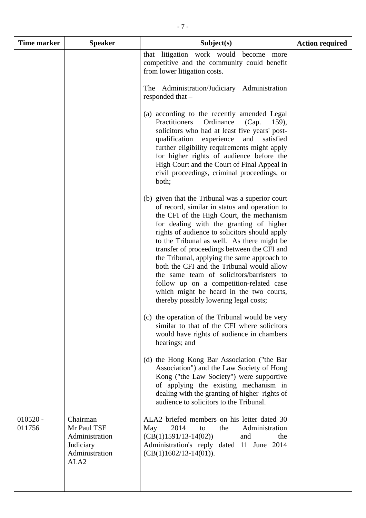| <b>Time marker</b>   | <b>Speaker</b>                                                                               | Subject(s)                                                                                                                                                                                                                                                                                                                                                                                                                                                                                                                                                                                                      | <b>Action required</b> |
|----------------------|----------------------------------------------------------------------------------------------|-----------------------------------------------------------------------------------------------------------------------------------------------------------------------------------------------------------------------------------------------------------------------------------------------------------------------------------------------------------------------------------------------------------------------------------------------------------------------------------------------------------------------------------------------------------------------------------------------------------------|------------------------|
|                      |                                                                                              | that litigation work would become more<br>competitive and the community could benefit<br>from lower litigation costs.                                                                                                                                                                                                                                                                                                                                                                                                                                                                                           |                        |
|                      |                                                                                              | The Administration/Judiciary Administration<br>responded that -                                                                                                                                                                                                                                                                                                                                                                                                                                                                                                                                                 |                        |
|                      |                                                                                              | (a) according to the recently amended Legal<br>Practitioners<br>Ordinance<br>(Cap.<br>159),<br>solicitors who had at least five years' post-<br>qualification experience<br>and<br>satisfied<br>further eligibility requirements might apply<br>for higher rights of audience before the<br>High Court and the Court of Final Appeal in<br>civil proceedings, criminal proceedings, or<br>both;                                                                                                                                                                                                                 |                        |
|                      |                                                                                              | (b) given that the Tribunal was a superior court<br>of record, similar in status and operation to<br>the CFI of the High Court, the mechanism<br>for dealing with the granting of higher<br>rights of audience to solicitors should apply<br>to the Tribunal as well. As there might be<br>transfer of proceedings between the CFI and<br>the Tribunal, applying the same approach to<br>both the CFI and the Tribunal would allow<br>the same team of solicitors/barristers to<br>follow up on a competition-related case<br>which might be heard in the two courts,<br>thereby possibly lowering legal costs; |                        |
|                      |                                                                                              | (c) the operation of the Tribunal would be very<br>similar to that of the CFI where solicitors<br>would have rights of audience in chambers<br>hearings; and                                                                                                                                                                                                                                                                                                                                                                                                                                                    |                        |
|                      |                                                                                              | (d) the Hong Kong Bar Association ("the Bar<br>Association") and the Law Society of Hong<br>Kong ("the Law Society") were supportive<br>of applying the existing mechanism in<br>dealing with the granting of higher rights of<br>audience to solicitors to the Tribunal.                                                                                                                                                                                                                                                                                                                                       |                        |
| $010520 -$<br>011756 | Chairman<br>Mr Paul TSE<br>Administration<br>Judiciary<br>Administration<br>ALA <sub>2</sub> | ALA2 briefed members on his letter dated 30<br>2014<br>Administration<br>the<br>May<br>to<br>$(CB(1)1591/13-14(02))$<br>and<br>the<br>Administration's reply dated 11 June 2014<br>$(CB(1)1602/13-14(01)).$                                                                                                                                                                                                                                                                                                                                                                                                     |                        |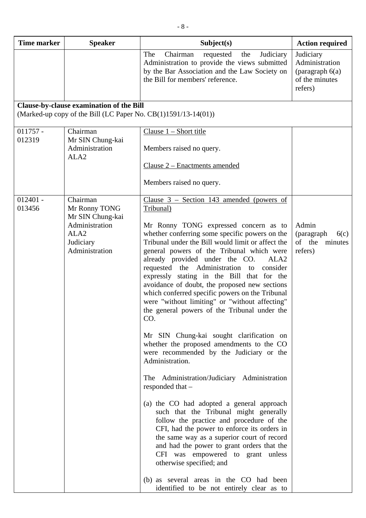| <b>Time marker</b>   | <b>Speaker</b>                                                                                                     | Subject(s)                                                                                                                                                                                                                                                                                                                                                                                                                                                                                                                                                                                                                                                                                                                                                                                                                                                                                                                                                                                                                                                                                                                                                                                                                                                                              | <b>Action required</b>                                                        |
|----------------------|--------------------------------------------------------------------------------------------------------------------|-----------------------------------------------------------------------------------------------------------------------------------------------------------------------------------------------------------------------------------------------------------------------------------------------------------------------------------------------------------------------------------------------------------------------------------------------------------------------------------------------------------------------------------------------------------------------------------------------------------------------------------------------------------------------------------------------------------------------------------------------------------------------------------------------------------------------------------------------------------------------------------------------------------------------------------------------------------------------------------------------------------------------------------------------------------------------------------------------------------------------------------------------------------------------------------------------------------------------------------------------------------------------------------------|-------------------------------------------------------------------------------|
|                      |                                                                                                                    | Chairman<br>Judiciary<br>The<br>requested<br>the<br>Administration to provide the views submitted<br>by the Bar Association and the Law Society on<br>the Bill for members' reference.                                                                                                                                                                                                                                                                                                                                                                                                                                                                                                                                                                                                                                                                                                                                                                                                                                                                                                                                                                                                                                                                                                  | Judiciary<br>Administration<br>(paragraph $6(a)$<br>of the minutes<br>refers) |
|                      | <b>Clause-by-clause examination of the Bill</b>                                                                    |                                                                                                                                                                                                                                                                                                                                                                                                                                                                                                                                                                                                                                                                                                                                                                                                                                                                                                                                                                                                                                                                                                                                                                                                                                                                                         |                                                                               |
|                      | (Marked-up copy of the Bill (LC Paper No. CB(1)1591/13-14(01))                                                     |                                                                                                                                                                                                                                                                                                                                                                                                                                                                                                                                                                                                                                                                                                                                                                                                                                                                                                                                                                                                                                                                                                                                                                                                                                                                                         |                                                                               |
| $011757 -$<br>012319 | Chairman<br>Mr SIN Chung-kai<br>Administration<br>ALA <sub>2</sub>                                                 | Clause $1 -$ Short title<br>Members raised no query.<br>Clause 2 – Enactments amended<br>Members raised no query.                                                                                                                                                                                                                                                                                                                                                                                                                                                                                                                                                                                                                                                                                                                                                                                                                                                                                                                                                                                                                                                                                                                                                                       |                                                                               |
| $012401 -$<br>013456 | Chairman<br>Mr Ronny TONG<br>Mr SIN Chung-kai<br>Administration<br>ALA <sub>2</sub><br>Judiciary<br>Administration | Clause $3$ – Section 143 amended (powers of<br>Tribunal)<br>Mr Ronny TONG expressed concern as to<br>whether conferring some specific powers on the<br>Tribunal under the Bill would limit or affect the<br>general powers of the Tribunal which were<br>already provided under the CO.<br>ALA <sub>2</sub><br>requested the Administration to<br>consider<br>expressly stating in the Bill that for the<br>avoidance of doubt, the proposed new sections<br>which conferred specific powers on the Tribunal<br>were "without limiting" or "without affecting"<br>the general powers of the Tribunal under the<br>CO.<br>Mr SIN Chung-kai sought clarification on<br>whether the proposed amendments to the CO<br>were recommended by the Judiciary or the<br>Administration.<br>The Administration/Judiciary Administration<br>responded that -<br>(a) the CO had adopted a general approach<br>such that the Tribunal might generally<br>follow the practice and procedure of the<br>CFI, had the power to enforce its orders in<br>the same way as a superior court of record<br>and had the power to grant orders that the<br>CFI was empowered to grant unless<br>otherwise specified; and<br>(b) as several areas in the CO had been<br>identified to be not entirely clear as to | Admin<br>(paragraph)<br>6(c)<br>of the<br>minutes<br>refers)                  |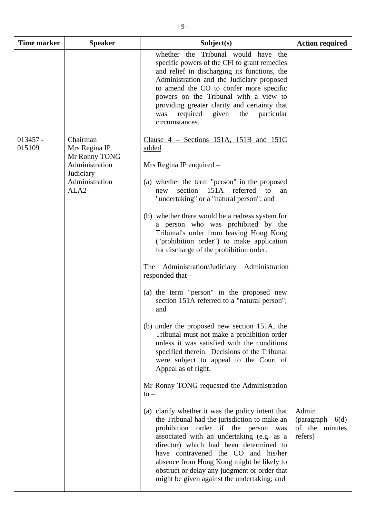| <b>Time marker</b>   | <b>Speaker</b>                                                                                                  | Subject(s)                                                                                                                                                                                                                                                                                                                                                                                                                                                                                                                                                                                                                                                                                                                                                                                                                                                                                                                                                                                                                                                                                                                                                                                                                                                                                        | <b>Action required</b>                                    |
|----------------------|-----------------------------------------------------------------------------------------------------------------|---------------------------------------------------------------------------------------------------------------------------------------------------------------------------------------------------------------------------------------------------------------------------------------------------------------------------------------------------------------------------------------------------------------------------------------------------------------------------------------------------------------------------------------------------------------------------------------------------------------------------------------------------------------------------------------------------------------------------------------------------------------------------------------------------------------------------------------------------------------------------------------------------------------------------------------------------------------------------------------------------------------------------------------------------------------------------------------------------------------------------------------------------------------------------------------------------------------------------------------------------------------------------------------------------|-----------------------------------------------------------|
|                      |                                                                                                                 | whether the Tribunal would have the<br>specific powers of the CFI to grant remedies<br>and relief in discharging its functions, the<br>Administration and the Judiciary proposed<br>to amend the CO to confer more specific<br>powers on the Tribunal with a view to<br>providing greater clarity and certainty that<br>required<br>given<br>the<br>particular<br>was<br>circumstances.                                                                                                                                                                                                                                                                                                                                                                                                                                                                                                                                                                                                                                                                                                                                                                                                                                                                                                           |                                                           |
| $013457 -$<br>015109 | Chairman<br>Mrs Regina IP<br>Mr Ronny TONG<br>Administration<br>Judiciary<br>Administration<br>ALA <sub>2</sub> | Clause $4$ – Sections 151A, 151B and 151C<br>added<br>Mrs Regina IP enquired -<br>(a) whether the term "person" in the proposed<br>151A referred<br>section<br>$\overline{a}$<br>new<br>an<br>"undertaking" or a "natural person"; and<br>(b) whether there would be a redress system for<br>a person who was prohibited by the<br>Tribunal's order from leaving Hong Kong<br>("prohibition order") to make application<br>for discharge of the prohibition order.<br>Administration/Judiciary Administration<br>The<br>responded that -<br>(a) the term "person" in the proposed new<br>section 151A referred to a "natural person";<br>and<br>(b) under the proposed new section 151A, the<br>Tribunal must not make a prohibition order<br>unless it was satisfied with the conditions<br>specified therein. Decisions of the Tribunal<br>were subject to appeal to the Court of<br>Appeal as of right.<br>Mr Ronny TONG requested the Administration<br>$\mathsf{to}-$<br>(a) clarify whether it was the policy intent that<br>the Tribunal had the jurisdiction to make an<br>prohibition order if the person was<br>associated with an undertaking (e.g. as a<br>director) which had been determined to<br>have contravened the CO and his/her<br>absence from Hong Kong might be likely to | Admin<br>(paragraph)<br>6(d)<br>of the minutes<br>refers) |
|                      |                                                                                                                 | obstruct or delay any judgment or order that<br>might be given against the undertaking; and                                                                                                                                                                                                                                                                                                                                                                                                                                                                                                                                                                                                                                                                                                                                                                                                                                                                                                                                                                                                                                                                                                                                                                                                       |                                                           |